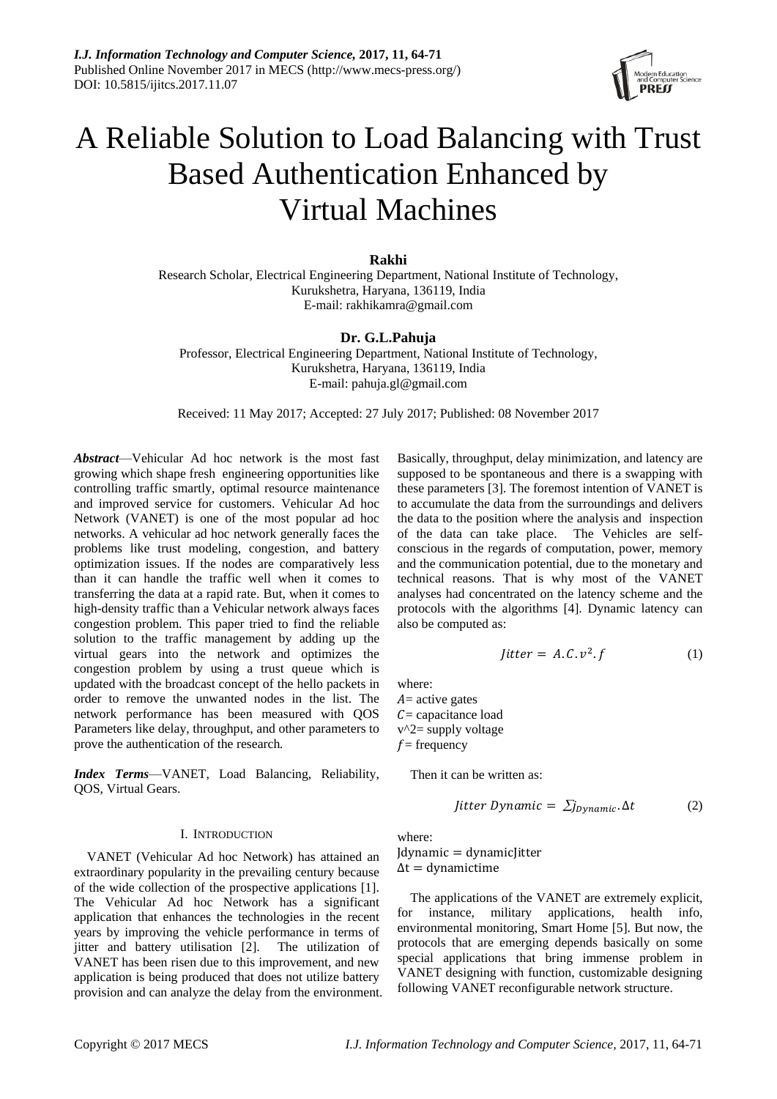

# A Reliable Solution to Load Balancing with Trust Based Authentication Enhanced by Virtual Machines

# **Rakhi**

Research Scholar, Electrical Engineering Department, National Institute of Technology, Kurukshetra, Haryana, 136119, India E-mail: [rakhikamra@gmail.com](mailto:rakhikamra@gmail.com)

# **Dr. G.L.Pahuja**

Professor, Electrical Engineering Department, National Institute of Technology, Kurukshetra, Haryana, 136119, India E-mail[: pahuja.gl@gmail.com](mailto:pahuja.gl@gmail.com)

Received: 11 May 2017; Accepted: 27 July 2017; Published: 08 November 2017

*Abstract*—Vehicular Ad hoc network is the most fast growing which shape fresh engineering opportunities like controlling traffic smartly, optimal resource maintenance and improved service for customers. Vehicular Ad hoc Network (VANET) is one of the most popular ad hoc networks. A vehicular ad hoc network generally faces the problems like trust modeling, congestion, and battery optimization issues. If the nodes are comparatively less than it can handle the traffic well when it comes to transferring the data at a rapid rate. But, when it comes to high-density traffic than a Vehicular network always faces congestion problem. This paper tried to find the reliable solution to the traffic management by adding up the virtual gears into the network and optimizes the congestion problem by using a trust queue which is updated with the broadcast concept of the hello packets in order to remove the unwanted nodes in the list. The network performance has been measured with QOS Parameters like delay, throughput, and other parameters to prove the authentication of the research*.*

*Index Terms*—VANET, Load Balancing, Reliability, QOS, Virtual Gears.

#### I. INTRODUCTION

VANET (Vehicular Ad hoc Network) has attained an extraordinary popularity in the prevailing century because of the wide collection of the prospective applications [1]. The Vehicular Ad hoc Network has a significant application that enhances the technologies in the recent years by improving the vehicle performance in terms of jitter and battery utilisation [2]. The utilization of VANET has been risen due to this improvement, and new application is being produced that does not utilize battery provision and can analyze the delay from the environment. Basically, throughput, delay minimization, and latency are supposed to be spontaneous and there is a swapping with these parameters [3]. The foremost intention of VANET is to accumulate the data from the surroundings and delivers the data to the position where the analysis and inspection of the data can take place. The Vehicles are selfconscious in the regards of computation, power, memory and the communication potential, due to the monetary and technical reasons. That is why most of the VANET analyses had concentrated on the latency scheme and the protocols with the algorithms [4]. Dynamic latency can also be computed as:

$$
Jitter = A.C. v^2.f \tag{1}
$$

where:

 $A$ = active gates  $C$  = capacitance load  $v^2$ = supply voltage  $f$  = frequency

Then it can be written as:

$$
Jitter\ Dynamic = \Sigma_{Jpynamic} \Delta t \tag{2}
$$

where:

 $\text{Idynamic} = \text{dynamic}$  $\Delta t =$  dynamictime

The applications of the VANET are extremely explicit, for instance, military applications, health info, environmental monitoring, Smart Home [5]. But now, the protocols that are emerging depends basically on some special applications that bring immense problem in VANET designing with function, customizable designing following VANET reconfigurable network structure.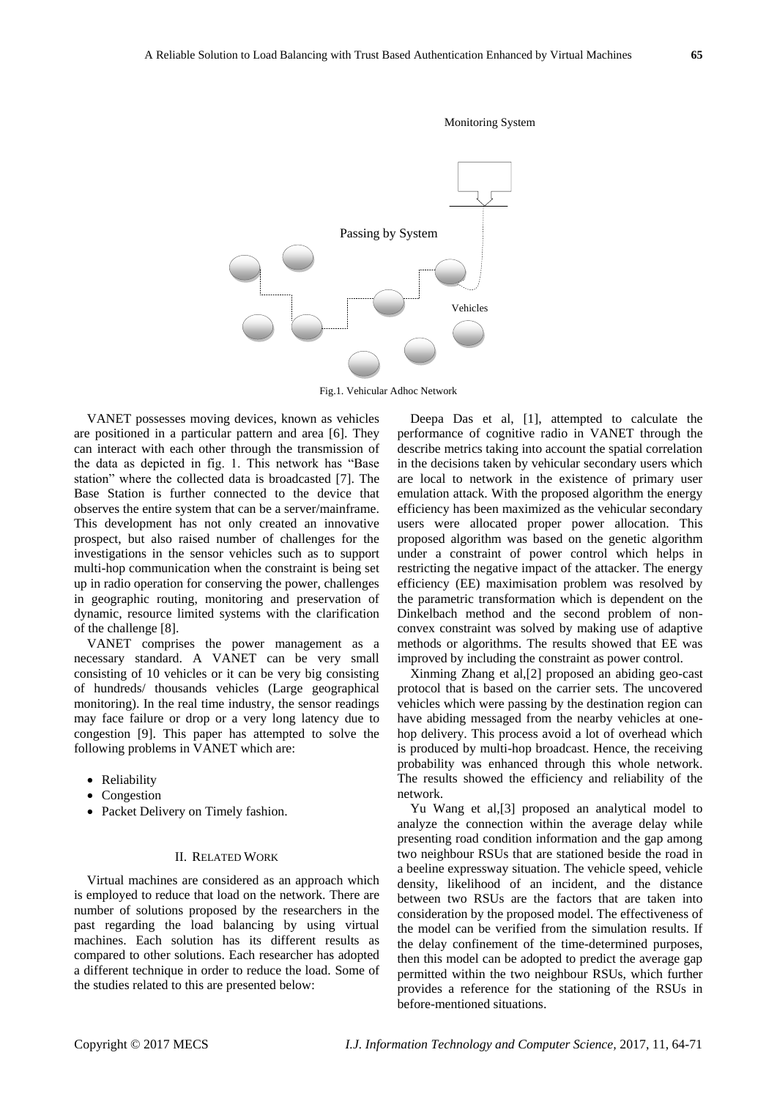Monitoring System



Fig.1. Vehicular Adhoc Network

VANET possesses moving devices, known as vehicles are positioned in a particular pattern and area [6]. They can interact with each other through the transmission of the data as depicted in fig. 1. This network has "Base station" where the collected data is broadcasted [7]. The Base Station is further connected to the device that observes the entire system that can be a server/mainframe. This development has not only created an innovative prospect, but also raised number of challenges for the investigations in the sensor vehicles such as to support multi-hop communication when the constraint is being set up in radio operation for conserving the power, challenges in geographic routing, monitoring and preservation of dynamic, resource limited systems with the clarification of the challenge [8].

VANET comprises the power management as a necessary standard. A VANET can be very small consisting of 10 vehicles or it can be very big consisting of hundreds/ thousands vehicles (Large geographical monitoring). In the real time industry, the sensor readings may face failure or drop or a very long latency due to congestion [9]. This paper has attempted to solve the following problems in VANET which are:

- Reliability
- Congestion
- Packet Delivery on Timely fashion.

## II. RELATED WORK

Virtual machines are considered as an approach which is employed to reduce that load on the network. There are number of solutions proposed by the researchers in the past regarding the load balancing by using virtual machines. Each solution has its different results as compared to other solutions. Each researcher has adopted a different technique in order to reduce the load. Some of the studies related to this are presented below:

Deepa Das et al, [1], attempted to calculate the performance of cognitive radio in VANET through the describe metrics taking into account the spatial correlation in the decisions taken by vehicular secondary users which are local to network in the existence of primary user emulation attack. With the proposed algorithm the energy efficiency has been maximized as the vehicular secondary users were allocated proper power allocation. This proposed algorithm was based on the genetic algorithm under a constraint of power control which helps in restricting the negative impact of the attacker. The energy efficiency (EE) maximisation problem was resolved by the parametric transformation which is dependent on the Dinkelbach method and the second problem of nonconvex constraint was solved by making use of adaptive methods or algorithms. The results showed that EE was improved by including the constraint as power control.

Xinming Zhang et al,[2] proposed an abiding geo-cast protocol that is based on the carrier sets. The uncovered vehicles which were passing by the destination region can have abiding messaged from the nearby vehicles at onehop delivery. This process avoid a lot of overhead which is produced by multi-hop broadcast. Hence, the receiving probability was enhanced through this whole network. The results showed the efficiency and reliability of the network.

Yu Wang et al,[3] proposed an analytical model to analyze the connection within the average delay while presenting road condition information and the gap among two neighbour RSUs that are stationed beside the road in a beeline expressway situation. The vehicle speed, vehicle density, likelihood of an incident, and the distance between two RSUs are the factors that are taken into consideration by the proposed model. The effectiveness of the model can be verified from the simulation results. If the delay confinement of the time-determined purposes, then this model can be adopted to predict the average gap permitted within the two neighbour RSUs, which further provides a reference for the stationing of the RSUs in before-mentioned situations.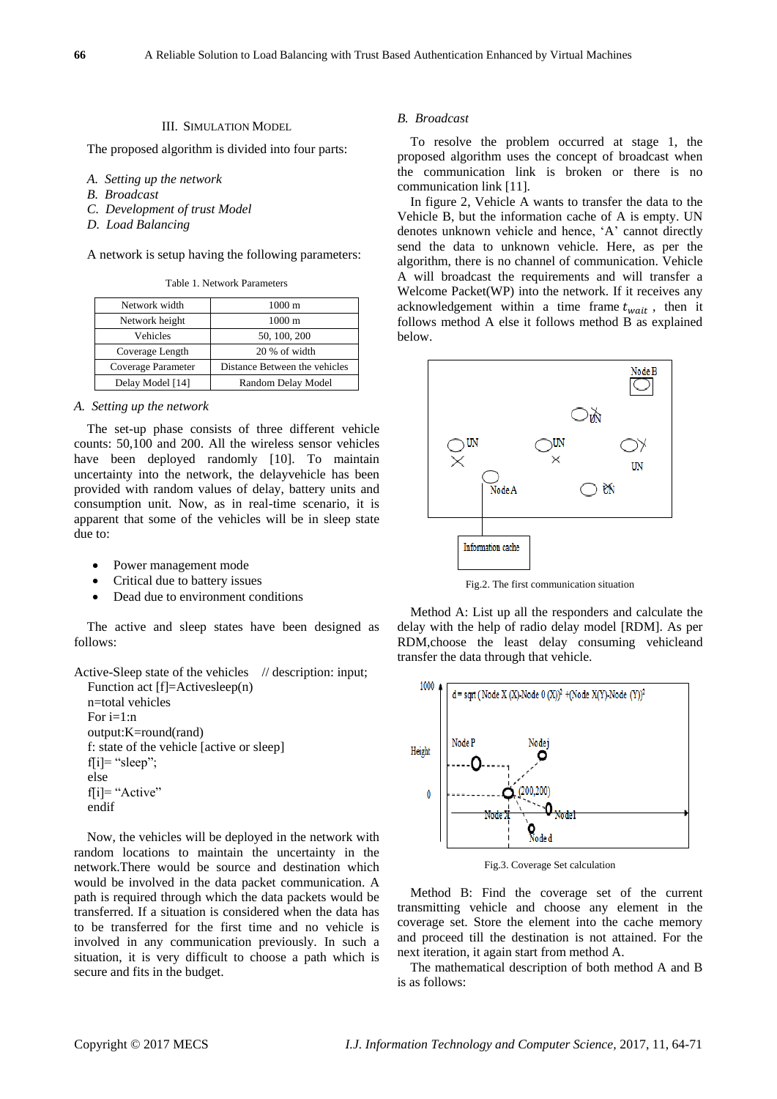#### III. SIMULATION MODEL

The proposed algorithm is divided into four parts:

- *A. Setting up the network*
- *B. Broadcast*
- *C. Development of trust Model*
- *D. Load Balancing*

A network is setup having the following parameters:

Table 1. Network Parameters

| Network width      | 1000 m                        |  |
|--------------------|-------------------------------|--|
| Network height     | $1000 \text{ m}$              |  |
| Vehicles           | 50, 100, 200                  |  |
| Coverage Length    | 20 % of width                 |  |
| Coverage Parameter | Distance Between the vehicles |  |
| Delay Model [14]   | Random Delay Model            |  |

## *A. Setting up the network*

The set-up phase consists of three different vehicle counts: 50,100 and 200. All the wireless sensor vehicles have been deployed randomly [10]. To maintain uncertainty into the network, the delayvehicle has been provided with random values of delay, battery units and consumption unit. Now, as in real-time scenario, it is apparent that some of the vehicles will be in sleep state due to:

- Power management mode
- Critical due to battery issues
- Dead due to environment conditions

The active and sleep states have been designed as follows:

Active-Sleep state of the vehicles // description: input; Function act [f]=Activesleep(n) n=total vehicles

For i=1:n output:K=round(rand) f: state of the vehicle [active or sleep] f[i]= "sleep"; else f[i]= "Active" endif

Now, the vehicles will be deployed in the network with random locations to maintain the uncertainty in the network.There would be source and destination which would be involved in the data packet communication. A path is required through which the data packets would be transferred. If a situation is considered when the data has to be transferred for the first time and no vehicle is involved in any communication previously. In such a situation, it is very difficult to choose a path which is secure and fits in the budget.

## *B. Broadcast*

To resolve the problem occurred at stage 1, the proposed algorithm uses the concept of broadcast when the communication link is broken or there is no communication link [11].

In figure 2, Vehicle A wants to transfer the data to the Vehicle B, but the information cache of A is empty. UN denotes unknown vehicle and hence, "A" cannot directly send the data to unknown vehicle. Here, as per the algorithm, there is no channel of communication. Vehicle A will broadcast the requirements and will transfer a Welcome Packet(WP) into the network. If it receives any acknowledgement within a time frame  $t_{wait}$ , then it follows method A else it follows method B as explained below.



Fig.2. The first communication situation

Method A: List up all the responders and calculate the delay with the help of radio delay model [RDM]. As per RDM,choose the least delay consuming vehicleand transfer the data through that vehicle.



Fig.3. Coverage Set calculation

Method B: Find the coverage set of the current transmitting vehicle and choose any element in the coverage set. Store the element into the cache memory and proceed till the destination is not attained. For the next iteration, it again start from method A.

The mathematical description of both method A and B is as follows: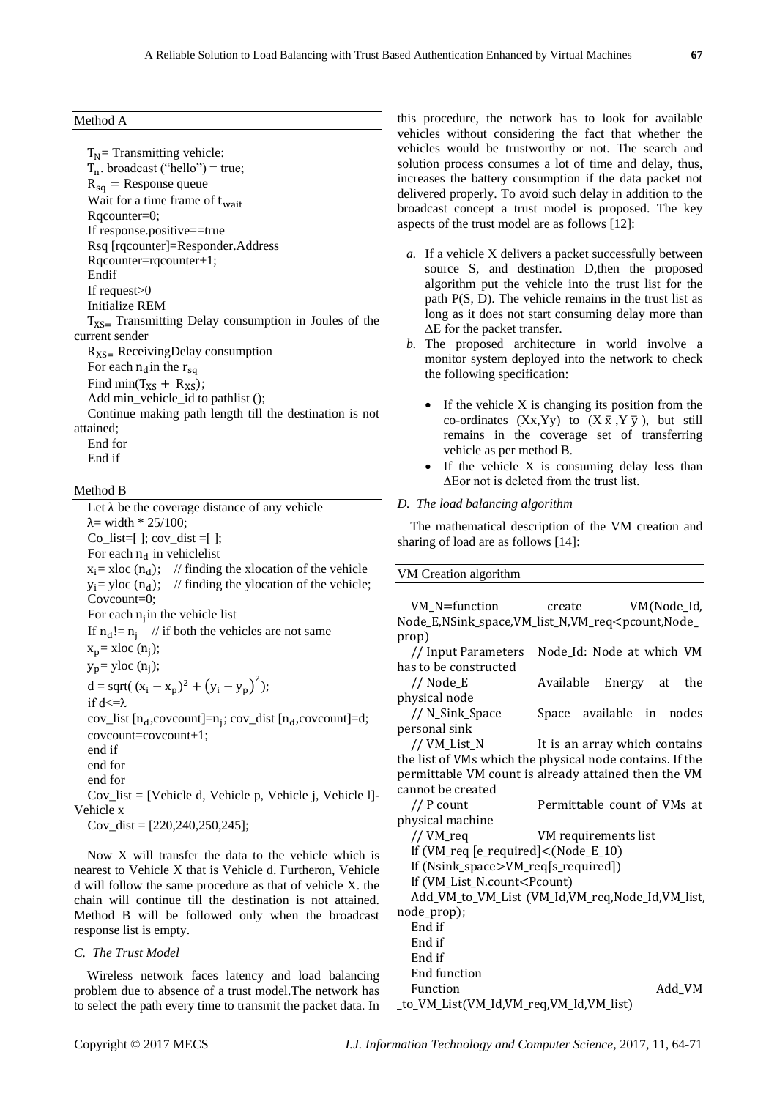# Method A

 $T_N$  = Transmitting vehicle:  $T_n$ . broadcast ("hello") = true;  $R_{sq}$  = Response queue Wait for a time frame of  $t_{wait}$ Rqcounter=0; If response.positive==true Rsq [rqcounter]=Responder.Address Rqcounter=rqcounter+1; Endif If request>0 Initialize REM  $T_{XS}$  Transmitting Delay consumption in Joules of the current sender  $R_{XS=}$  ReceivingDelay consumption For each  $n_d$  in the  $r_{sq}$ Find min( $T_{\text{YS}} + R_{\text{YS}}$ ); Add min\_vehicle\_id to pathlist (); Continue making path length till the destination is not attained; End for

End if

# Method B

Let  $\lambda$  be the coverage distance of any vehicle  $\lambda$  = width \* 25/100; Co\_list= $[ ]$ ; cov\_dist = $[ ]$ ; For each  $n_d$  in vehiclelist  $x_i = xloc (n_d);$  // finding the xlocation of the vehicle  $y_i =$  yloc ( $n_d$ ); // finding the ylocation of the vehicle; Covcount=0; For each  $n_i$  in the vehicle list If  $n_d = n_i$  // if both the vehicles are not same  $x_p = xloc (n_i);$  $y_p =$  yloc  $(n_i)$ ;  $d = \text{sqrt}((x_i - x_p)^2 + (y_i - y_p)^2)$ if  $d \leq \lambda$  $cov\_list [n_d, covcount] = n_i$ ;  $cov\_dist [n_d, covcount] = d;$ covcount=covcount+1; end if end for end for Cov list  $=$  [Vehicle d, Vehicle p, Vehicle j, Vehicle l]-Vehicle x  $Cov\_dist = [220, 240, 250, 245]$ ;

Now X will transfer the data to the vehicle which is nearest to Vehicle X that is Vehicle d. Furtheron, Vehicle d will follow the same procedure as that of vehicle X. the chain will continue till the destination is not attained. Method B will be followed only when the broadcast response list is empty.

# *C. The Trust Model*

Wireless network faces latency and load balancing problem due to absence of a trust model.The network has to select the path every time to transmit the packet data. In this procedure, the network has to look for available vehicles without considering the fact that whether the vehicles would be trustworthy or not. The search and solution process consumes a lot of time and delay, thus, increases the battery consumption if the data packet not delivered properly. To avoid such delay in addition to the broadcast concept a trust model is proposed. The key aspects of the trust model are as follows [12]:

- *a.* If a vehicle X delivers a packet successfully between source S, and destination D,then the proposed algorithm put the vehicle into the trust list for the path P(S, D). The vehicle remains in the trust list as long as it does not start consuming delay more than ∆E for the packet transfer.
- *b.* The proposed architecture in world involve a monitor system deployed into the network to check the following specification:
	- $\bullet$  If the vehicle X is changing its position from the co-ordinates  $(Xx, Yy)$  to  $(X \bar{x}, Y \bar{y})$ , but still remains in the coverage set of transferring vehicle as per method B.
	- If the vehicle X is consuming delay less than ∆Eor not is deleted from the trust list.

## *D. The load balancing algorithm*

The mathematical description of the VM creation and sharing of load are as follows [14]:

VM Creation algorithm

| VM_N=function create                                                                        |                               | VM(Node_Id,      |
|---------------------------------------------------------------------------------------------|-------------------------------|------------------|
| Node_E,NSink_space,VM_list_N,VM_req <pcount,node_< td=""><td></td><td></td></pcount,node_<> |                               |                  |
| prop)                                                                                       |                               |                  |
| // Input Parameters                                                                         | Node_Id: Node at which VM     |                  |
| has to be constructed                                                                       |                               |                  |
| // Node_E                                                                                   | Available                     | Energy at<br>the |
| physical node                                                                               |                               |                  |
| // N_Sink_Space                                                                             | Space available in nodes      |                  |
| personal sink                                                                               |                               |                  |
| // VM_List_N                                                                                | It is an array which contains |                  |
| the list of VMs which the physical node contains. If the                                    |                               |                  |
| permittable VM count is already attained then the VM                                        |                               |                  |
| cannot be created                                                                           |                               |                  |
| $//$ P count                                                                                | Permittable count of VMs at   |                  |
| physical machine                                                                            |                               |                  |
| // VM_req                                                                                   | VM requirements list          |                  |
| If (VM_req [e_required]<(Node_E_10)                                                         |                               |                  |
| If (Nsink_space>VM_req[s_required])                                                         |                               |                  |
| If (VM_List_N.count <pcount)< td=""><td></td><td></td></pcount)<>                           |                               |                  |
| Add_VM_to_VM_List (VM_Id,VM_req,Node_Id,VM_list,                                            |                               |                  |
| node_prop);                                                                                 |                               |                  |
| End if                                                                                      |                               |                  |
| End if                                                                                      |                               |                  |
| End if                                                                                      |                               |                  |
| End function                                                                                |                               |                  |
| Function                                                                                    |                               | Add_VM           |

\_to\_VM\_List(VM\_Id,VM\_req,VM\_Id,VM\_list)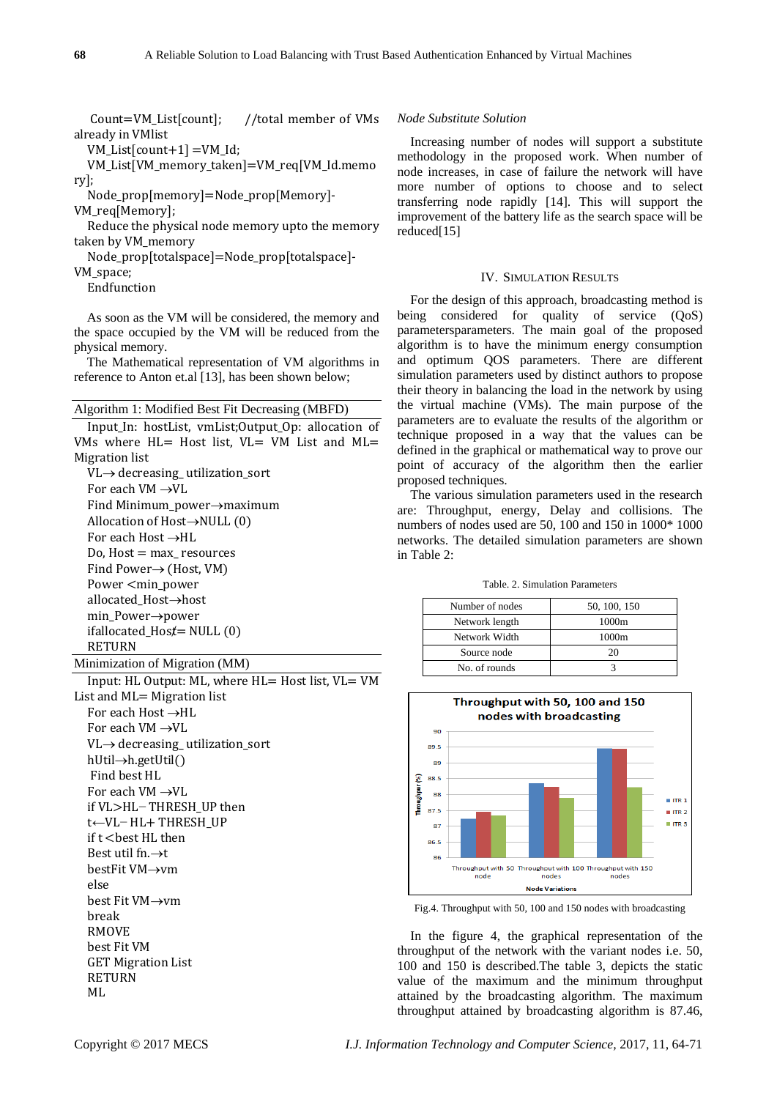Count=VM\_List[count]; //total member of VMs already in VMlist

VM\_List[count+1] =VM\_Id;

VM\_List[VM\_memory\_taken]=VM\_req[VM\_Id.memo ry];

Node\_prop[memory]=Node\_prop[Memory]- VM\_req[Memory];

Reduce the physical node memory upto the memory taken by VM\_memory

Node\_prop[totalspace]=Node\_prop[totalspace]- VM\_space;

Endfunction

As soon as the VM will be considered, the memory and the space occupied by the VM will be reduced from the physical memory.

The Mathematical representation of VM algorithms in reference to Anton et.al [13], has been shown below;

# Algorithm 1: Modified Best Fit Decreasing (MBFD)

Input\_In: hostList, vmList;Output\_Op: allocation of VMs where  $HL=$  Host list,  $VL=$  VM List and  $ML=$ Migration list  $VL \rightarrow$  decreasing\_utilization\_sort For each VM  $\rightarrow$ VL Find Minimum\_power $\rightarrow$ maximum Allocation of Host $\rightarrow$ NULL (0) For each Host  $\rightarrow$  HL Do,  $Host = max$  resources Find Power $\rightarrow$  (Host, VM) Power <min\_power allocated\_Host->host min\_Power->power ifallocated\_Hos $\not=$  NULL (0) RETURN Minimization of Migration (MM) Input: HL Output: ML, where HL= Host list, VL= VM List and ML= Migration list For each Host  $\rightarrow$  HL For each VM  $\rightarrow$ VL VL $\rightarrow$  decreasing\_utilization\_sort hUtil→h.getUtil() Find best HL For each VM  $\rightarrow$ VL if VL>HL− THRESH\_UP then t←VL− HL+ THRESH\_UP if t <br/>best HL then Best util fn. $\rightarrow$ t bestFit VM $\rightarrow$ vm else best Fit VM-ym break RMOVE best Fit VM GET Migration List RETURN ML

#### *Node Substitute Solution*

Increasing number of nodes will support a substitute methodology in the proposed work. When number of node increases, in case of failure the network will have more number of options to choose and to select transferring node rapidly [14]. This will support the improvement of the battery life as the search space will be reduced[15]

#### IV. SIMULATION RESULTS

For the design of this approach, broadcasting method is being considered for quality of service (QoS) parametersparameters. The main goal of the proposed algorithm is to have the minimum energy consumption and optimum QOS parameters. There are different simulation parameters used by distinct authors to propose their theory in balancing the load in the network by using the virtual machine (VMs). The main purpose of the parameters are to evaluate the results of the algorithm or technique proposed in a way that the values can be defined in the graphical or mathematical way to prove our point of accuracy of the algorithm then the earlier proposed techniques.

The various simulation parameters used in the research are: Throughput, energy, Delay and collisions. The numbers of nodes used are 50, 100 and 150 in 1000\* 1000 networks. The detailed simulation parameters are shown in Table 2:

| Number of nodes | 50, 100, 150 |
|-----------------|--------------|
| Network length  | 1000m        |
| Network Width   | 1000m        |
| Source node     | 20           |
| No. of rounds   |              |



Fig.4. Throughput with 50, 100 and 150 nodes with broadcasting

In the figure 4, the graphical representation of the throughput of the network with the variant nodes i.e. 50, 100 and 150 is described.The table 3, depicts the static value of the maximum and the minimum throughput attained by the broadcasting algorithm. The maximum throughput attained by broadcasting algorithm is 87.46,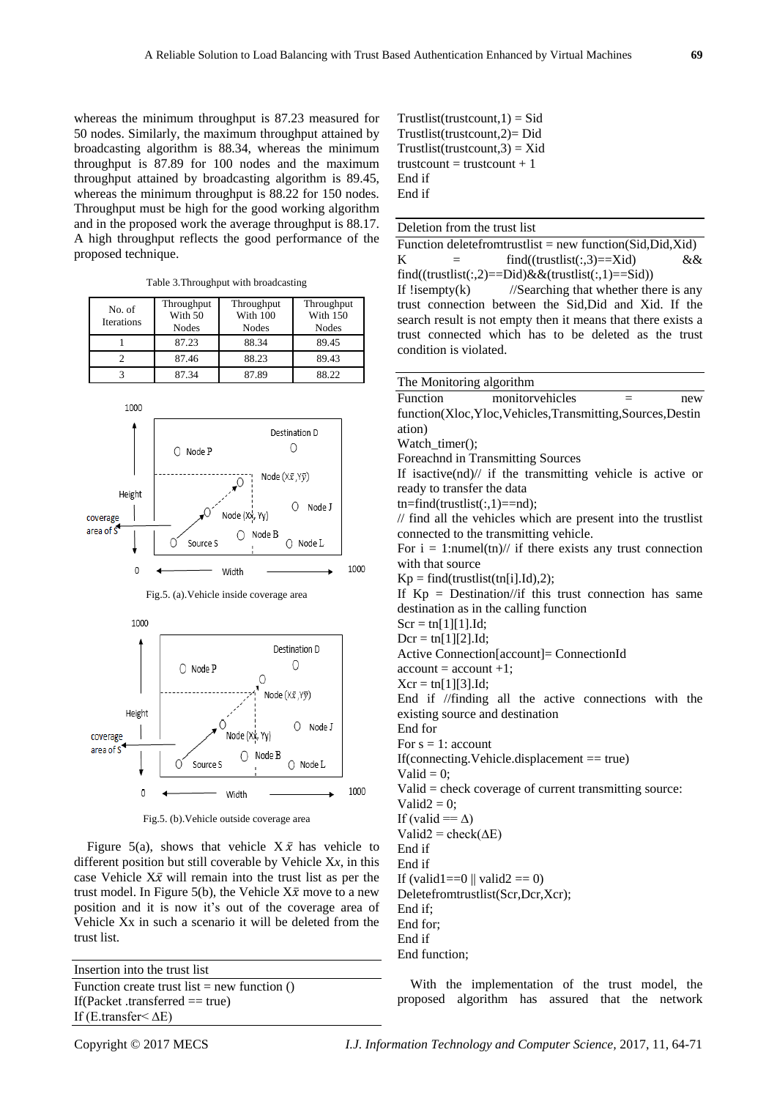whereas the minimum throughput is 87.23 measured for 50 nodes. Similarly, the maximum throughput attained by broadcasting algorithm is 88.34, whereas the minimum throughput is 87.89 for 100 nodes and the maximum throughput attained by broadcasting algorithm is 89.45, whereas the minimum throughput is 88.22 for 150 nodes. Throughput must be high for the good working algorithm and in the proposed work the average throughput is 88.17. A high throughput reflects the good performance of the proposed technique.

Table 3.Throughput with broadcasting

| No. of<br>Iterations | Throughput<br>With 50<br><b>Nodes</b> | Throughput<br>With 100<br><b>Nodes</b> | Throughput<br>With 150<br><b>Nodes</b> |
|----------------------|---------------------------------------|----------------------------------------|----------------------------------------|
|                      | 87.23                                 | 88.34                                  | 89.45                                  |
|                      | 87.46                                 | 88.23                                  | 89.43                                  |
|                      | 87.34                                 | 87.89                                  | 88.22                                  |









Figure 5(a), shows that vehicle  $X \bar{x}$  has vehicle to different position but still coverable by Vehicle X*x*, in this case Vehicle  $X\bar{x}$  will remain into the trust list as per the trust model. In Figure 5(b), the Vehicle  $X\bar{x}$  move to a new position and it is now it"s out of the coverage area of Vehicle Xx in such a scenario it will be deleted from the trust list.

Insertion into the trust list Function create trust list  $=$  new function  $()$ If(Packet .transferred == true) If (E.transfer< ∆E)

 $Trustlist(trustcount,1) = Sid$ Trustlist(trustcount,2)= Did  $Trustlist(trustcount,3) = Xid$  $trustcount = trustcount + 1$ End if End if

## Deletion from the trust list

|   | Function deletefromtrustlist = new function( $\text{Sid}, \text{Did}, \text{Xid}$ ) |                               |  |  |  |    |
|---|-------------------------------------------------------------------------------------|-------------------------------|--|--|--|----|
| K |                                                                                     | $find((trustlist(:,3)==Xid))$ |  |  |  | && |
|   | find((trustlist(:,2)==Did)&&(trustlist(:,1)==Sid))                                  |                               |  |  |  |    |
|   | If !isempty(k) $//$ Searching that whether there is any                             |                               |  |  |  |    |
|   | trust connection between the Sid, Did and Xid. If the                               |                               |  |  |  |    |
|   | search result is not empty then it means that there exists a                        |                               |  |  |  |    |
|   | trust connected which has to be deleted as the trust                                |                               |  |  |  |    |
|   | condition is violated.                                                              |                               |  |  |  |    |

|  | The Monitoring algorithm |  |
|--|--------------------------|--|
|  |                          |  |

Function monitorvehicles = new function(Xloc,Yloc,Vehicles,Transmitting,Sources,Destin ation) Watch\_timer();

Foreachnd in Transmitting Sources

If isactive $\left(\frac{nd}{l}\right)$  if the transmitting vehicle is active or ready to transfer the data

tn=find(trustlist(:,1)==nd);

// find all the vehicles which are present into the trustlist connected to the transmitting vehicle.

For  $i = 1$ :numel(tn)// if there exists any trust connection with that source

 $Kp = find(trustlist(tn[i].Id),2);$ 

If  $Kp =$  Destination//if this trust connection has same destination as in the calling function

 $Scr = \frac{tn[1][1].Id}{;}$ 

 $Dcr = \text{tn}[1][2].Id;$ 

Active Connection[account]= ConnectionId

 $account = account +1;$ 

 $Xcr = \text{tn}[1][3].\text{Id};$ 

End if //finding all the active connections with the existing source and destination

End for

For  $s = 1$ : account

If(connecting.Vehicle.displacement == true)

Valid  $= 0$ ;

Valid = check coverage of current transmitting source:

Valid $2 = 0$ ; If (valid ==  $\Delta$ )

Valid2 = check( $\Delta E$ ) End if End if

If (valid1==0  $\parallel$  valid2 == 0) Deletefromtrustlist(Scr,Dcr,Xcr); End if;

End for;

End if

End function;

With the implementation of the trust model, the proposed algorithm has assured that the network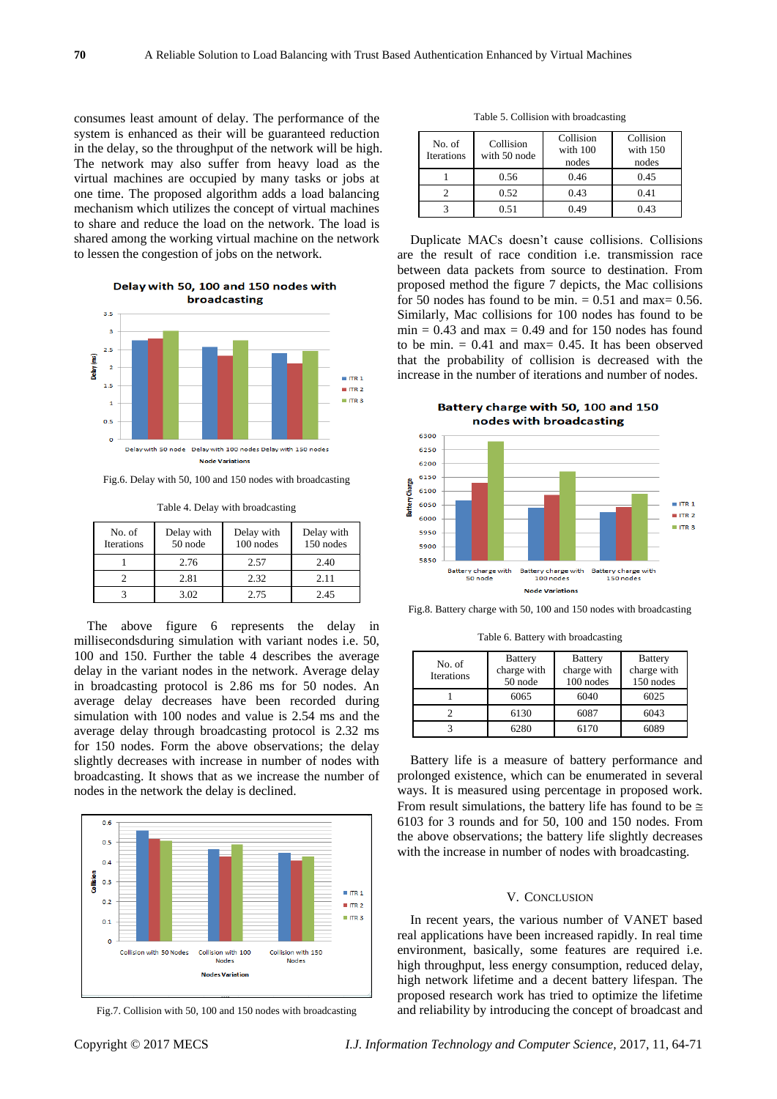consumes least amount of delay. The performance of the system is enhanced as their will be guaranteed reduction in the delay, so the throughput of the network will be high. The network may also suffer from heavy load as the virtual machines are occupied by many tasks or jobs at one time. The proposed algorithm adds a load balancing mechanism which utilizes the concept of virtual machines to share and reduce the load on the network. The load is shared among the working virtual machine on the network to lessen the congestion of jobs on the network.



Fig.6. Delay with 50, 100 and 150 nodes with broadcasting

|  |  | Table 4. Delay with proadcasting |  |
|--|--|----------------------------------|--|
|  |  |                                  |  |

 $T = T + T + T$ 

| No. of<br>Iterations | Delay with<br>50 node | Delay with<br>100 nodes | Delay with<br>150 nodes |
|----------------------|-----------------------|-------------------------|-------------------------|
|                      | 2.76                  | 2.57                    | 2.40                    |
|                      | 2.81                  | 2.32                    | 2.11                    |
|                      | 3.02                  | 2.75                    | 2.45                    |

The above figure 6 represents the delay in millisecondsduring simulation with variant nodes i.e. 50, 100 and 150. Further the table 4 describes the average delay in the variant nodes in the network. Average delay in broadcasting protocol is 2.86 ms for 50 nodes. An average delay decreases have been recorded during simulation with 100 nodes and value is 2.54 ms and the average delay through broadcasting protocol is 2.32 ms for 150 nodes. Form the above observations; the delay slightly decreases with increase in number of nodes with broadcasting. It shows that as we increase the number of nodes in the network the delay is declined.



Fig.7. Collision with 50, 100 and 150 nodes with broadcasting

Table 5. Collision with broadcasting

| No. of<br>Iterations | Collision<br>with 50 node | Collision<br>with $100$<br>nodes | Collision<br>with $150$<br>nodes |
|----------------------|---------------------------|----------------------------------|----------------------------------|
|                      | 0.56                      | 0.46                             | 0.45                             |
|                      | 0.52                      | 0.43                             | 0.41                             |
|                      | 0.51                      | 0.49                             | 0.43                             |

Duplicate MACs doesn"t cause collisions. Collisions are the result of race condition i.e. transmission race between data packets from source to destination. From proposed method the figure 7 depicts, the Mac collisions for 50 nodes has found to be min.  $= 0.51$  and max $= 0.56$ . Similarly, Mac collisions for 100 nodes has found to be  $min = 0.43$  and  $max = 0.49$  and for 150 nodes has found to be min.  $= 0.41$  and max $= 0.45$ . It has been observed that the probability of collision is decreased with the increase in the number of iterations and number of nodes.

Battery charge with 50, 100 and 150 nodes with broadcasting



Fig.8. Battery charge with 50, 100 and 150 nodes with broadcasting

Table 6. Battery with broadcasting

| No. of<br><b>Iterations</b> | <b>Battery</b><br>charge with<br>50 node | <b>Battery</b><br>charge with<br>100 nodes | <b>Battery</b><br>charge with<br>150 nodes |
|-----------------------------|------------------------------------------|--------------------------------------------|--------------------------------------------|
|                             | 6065                                     | 6040                                       | 6025                                       |
|                             | 6130                                     | 6087                                       | 6043                                       |
|                             | 6280                                     | 6170                                       |                                            |

Battery life is a measure of battery performance and prolonged existence, which can be enumerated in several ways. It is measured using percentage in proposed work. From result simulations, the battery life has found to be  $\cong$ 6103 for 3 rounds and for 50, 100 and 150 nodes. From the above observations; the battery life slightly decreases with the increase in number of nodes with broadcasting.

#### V. CONCLUSION

In recent years, the various number of VANET based real applications have been increased rapidly. In real time environment, basically, some features are required i.e. high throughput, less energy consumption, reduced delay, high network lifetime and a decent battery lifespan. The proposed research work has tried to optimize the lifetime and reliability by introducing the concept of broadcast and